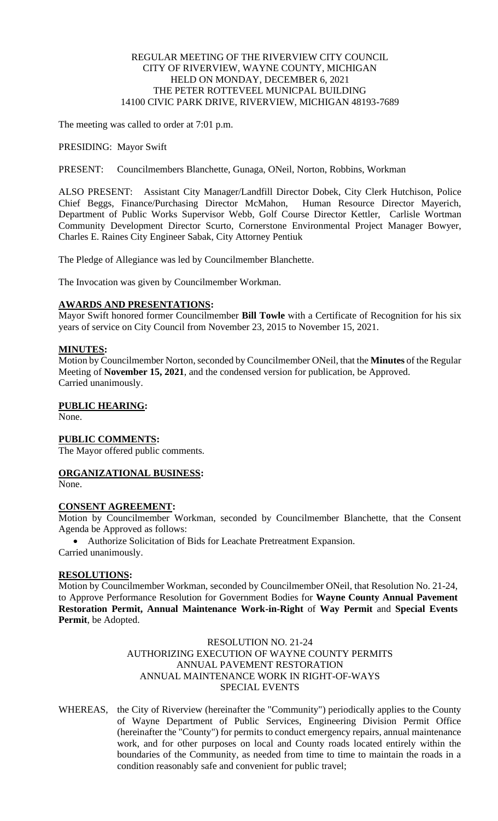### REGULAR MEETING OF THE RIVERVIEW CITY COUNCIL CITY OF RIVERVIEW, WAYNE COUNTY, MICHIGAN HELD ON MONDAY, DECEMBER 6, 2021 THE PETER ROTTEVEEL MUNICPAL BUILDING 14100 CIVIC PARK DRIVE, RIVERVIEW, MICHIGAN 48193-7689

The meeting was called to order at 7:01 p.m.

PRESIDING: Mayor Swift

PRESENT: Councilmembers Blanchette, Gunaga, ONeil, Norton, Robbins, Workman

ALSO PRESENT: Assistant City Manager/Landfill Director Dobek, City Clerk Hutchison, Police Chief Beggs, Finance/Purchasing Director McMahon, Human Resource Director Mayerich, Department of Public Works Supervisor Webb, Golf Course Director Kettler, Carlisle Wortman Community Development Director Scurto, Cornerstone Environmental Project Manager Bowyer, Charles E. Raines City Engineer Sabak, City Attorney Pentiuk

The Pledge of Allegiance was led by Councilmember Blanchette.

The Invocation was given by Councilmember Workman.

#### **AWARDS AND PRESENTATIONS:**

Mayor Swift honored former Councilmember **Bill Towle** with a Certificate of Recognition for his six years of service on City Council from November 23, 2015 to November 15, 2021.

### **MINUTES:**

Motion by Councilmember Norton, seconded by Councilmember ONeil, that the **Minutes** of the Regular Meeting of **November 15, 2021**, and the condensed version for publication, be Approved. Carried unanimously.

#### **PUBLIC HEARING:**

None.

### **PUBLIC COMMENTS:**

The Mayor offered public comments.

## **ORGANIZATIONAL BUSINESS:**

None.

### **CONSENT AGREEMENT:**

Motion by Councilmember Workman, seconded by Councilmember Blanchette, that the Consent Agenda be Approved as follows:

• Authorize Solicitation of Bids for Leachate Pretreatment Expansion. Carried unanimously.

### **RESOLUTIONS:**

Motion by Councilmember Workman, seconded by Councilmember ONeil, that Resolution No. 21-24, to Approve Performance Resolution for Government Bodies for **Wayne County Annual Pavement Restoration Permit, Annual Maintenance Work-in-Right** of **Way Permit** and **Special Events Permit**, be Adopted.

#### RESOLUTION NO. 21-24 AUTHORIZING EXECUTION OF WAYNE COUNTY PERMITS ANNUAL PAVEMENT RESTORATION ANNUAL MAINTENANCE WORK IN RIGHT-OF-WAYS SPECIAL EVENTS

WHEREAS, the City of Riverview (hereinafter the "Community") periodically applies to the County of Wayne Department of Public Services, Engineering Division Permit Office (hereinafter the "County") for permits to conduct emergency repairs, annual maintenance work, and for other purposes on local and County roads located entirely within the boundaries of the Community, as needed from time to time to maintain the roads in a condition reasonably safe and convenient for public travel;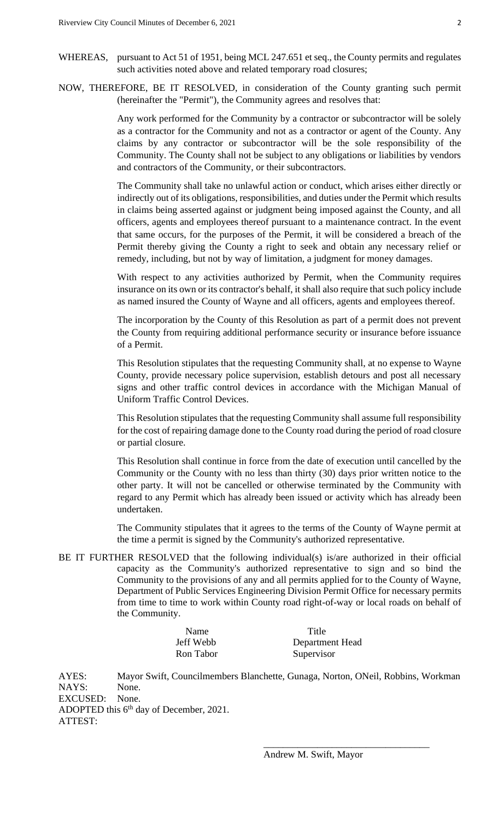- WHEREAS, pursuant to Act 51 of 1951, being MCL 247.651 et seq., the County permits and regulates such activities noted above and related temporary road closures;
- NOW, THEREFORE, BE IT RESOLVED, in consideration of the County granting such permit (hereinafter the "Permit"), the Community agrees and resolves that:

Any work performed for the Community by a contractor or subcontractor will be solely as a contractor for the Community and not as a contractor or agent of the County. Any claims by any contractor or subcontractor will be the sole responsibility of the Community. The County shall not be subject to any obligations or liabilities by vendors and contractors of the Community, or their subcontractors.

The Community shall take no unlawful action or conduct, which arises either directly or indirectly out of its obligations, responsibilities, and duties under the Permit which results in claims being asserted against or judgment being imposed against the County, and all officers, agents and employees thereof pursuant to a maintenance contract. In the event that same occurs, for the purposes of the Permit, it will be considered a breach of the Permit thereby giving the County a right to seek and obtain any necessary relief or remedy, including, but not by way of limitation, a judgment for money damages.

With respect to any activities authorized by Permit, when the Community requires insurance on its own or its contractor's behalf, it shall also require that such policy include as named insured the County of Wayne and all officers, agents and employees thereof.

The incorporation by the County of this Resolution as part of a permit does not prevent the County from requiring additional performance security or insurance before issuance of a Permit.

This Resolution stipulates that the requesting Community shall, at no expense to Wayne County, provide necessary police supervision, establish detours and post all necessary signs and other traffic control devices in accordance with the Michigan Manual of Uniform Traffic Control Devices.

This Resolution stipulates that the requesting Community shall assume full responsibility for the cost of repairing damage done to the County road during the period of road closure or partial closure.

This Resolution shall continue in force from the date of execution until cancelled by the Community or the County with no less than thirty (30) days prior written notice to the other party. It will not be cancelled or otherwise terminated by the Community with regard to any Permit which has already been issued or activity which has already been undertaken.

The Community stipulates that it agrees to the terms of the County of Wayne permit at the time a permit is signed by the Community's authorized representative.

BE IT FURTHER RESOLVED that the following individual(s) is/are authorized in their official capacity as the Community's authorized representative to sign and so bind the Community to the provisions of any and all permits applied for to the County of Wayne, Department of Public Services Engineering Division Permit Office for necessary permits from time to time to work within County road right-of-way or local roads on behalf of the Community.

| Name      | Title           |
|-----------|-----------------|
| Jeff Webb | Department Head |
| Ron Tabor | Supervisor      |

AYES: Mayor Swift, Councilmembers Blanchette, Gunaga, Norton, ONeil, Robbins, Workman NAYS: None. EXCUSED: None. ADOPTED this 6<sup>th</sup> day of December, 2021. ATTEST:

\_\_\_\_\_\_\_\_\_\_\_\_\_\_\_\_\_\_\_\_\_\_\_\_\_\_\_\_\_\_\_\_\_\_